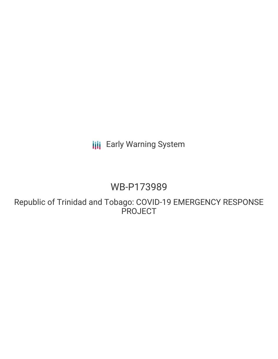# **III** Early Warning System

# WB-P173989

Republic of Trinidad and Tobago: COVID-19 EMERGENCY RESPONSE **PROJECT**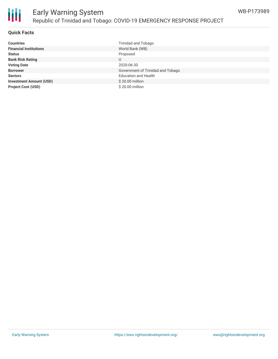

### **Quick Facts**

| <b>Countries</b>               | Trinidad and Tobago               |
|--------------------------------|-----------------------------------|
| <b>Financial Institutions</b>  | World Bank (WB)                   |
| <b>Status</b>                  | Proposed                          |
| <b>Bank Risk Rating</b>        | U                                 |
| <b>Voting Date</b>             | 2020-06-30                        |
| <b>Borrower</b>                | Government of Trinidad and Tobago |
| <b>Sectors</b>                 | <b>Education and Health</b>       |
| <b>Investment Amount (USD)</b> | \$20.00 million                   |
| <b>Project Cost (USD)</b>      | \$20.00 million                   |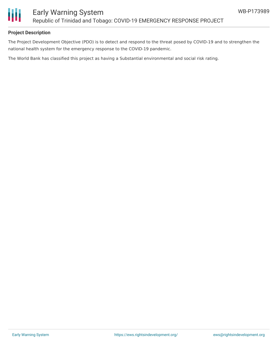

### **Project Description**

The Project Development Objective (PDO) is to detect and respond to the threat posed by COVID-19 and to strengthen the national health system for the emergency response to the COVID-19 pandemic.

The World Bank has classified this project as having a Substantial environmental and social risk rating.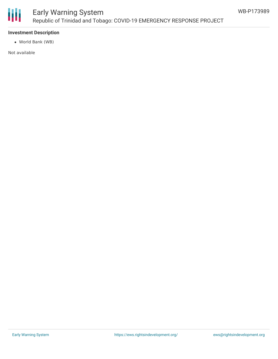

## Early Warning System Republic of Trinidad and Tobago: COVID-19 EMERGENCY RESPONSE PROJECT

#### **Investment Description**

World Bank (WB)

Not available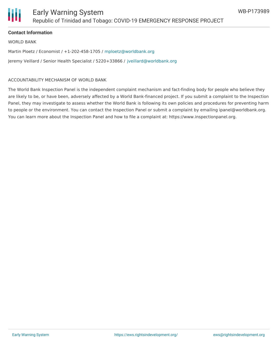

### **Contact Information**

WORLD BANK

Martin Ploetz / Economist / +1-202-458-1705 / [mploetz@worldbank.org](mailto:mploetz@worldbank.org)

Jeremy Veillard / Senior Health Specialist / 5220+33866 / [jveillard@worldbank.org](mailto:jveillard@worldbank.org)

#### ACCOUNTABILITY MECHANISM OF WORLD BANK

The World Bank Inspection Panel is the independent complaint mechanism and fact-finding body for people who believe they are likely to be, or have been, adversely affected by a World Bank-financed project. If you submit a complaint to the Inspection Panel, they may investigate to assess whether the World Bank is following its own policies and procedures for preventing harm to people or the environment. You can contact the Inspection Panel or submit a complaint by emailing ipanel@worldbank.org. You can learn more about the Inspection Panel and how to file a complaint at: https://www.inspectionpanel.org.